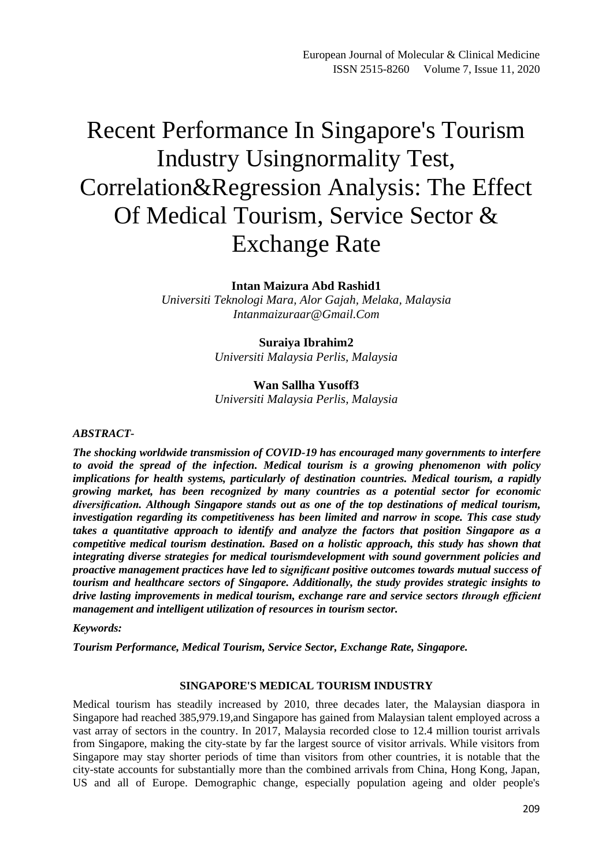# Recent Performance In Singapore's Tourism Industry Usingnormality Test, Correlation&Regression Analysis: The Effect Of Medical Tourism, Service Sector & Exchange Rate

# **Intan Maizura Abd Rashid1**

*Universiti Teknologi Mara, Alor Gajah, Melaka, Malaysia Intanmaizuraar@Gmail.Com*

# **Suraiya Ibrahim2**

*Universiti Malaysia Perlis, Malaysia*

#### **Wan Sallha Yusoff3**

*Universiti Malaysia Perlis, Malaysia*

### *ABSTRACT-*

*The shocking worldwide transmission of COVID-19 has encouraged many governments to interfere to avoid the spread of the infection. Medical tourism is a growing phenomenon with policy implications for health systems, particularly of destination countries. Medical tourism, a rapidly growing market, has been recognized by many countries as a potential sector for economic diversification. Although Singapore stands out as one of the top destinations of medical tourism, investigation regarding its competitiveness has been limited and narrow in scope. This case study takes a quantitative approach to identify and analyze the factors that position Singapore as a competitive medical tourism destination. Based on a holistic approach, this study has shown that integrating diverse strategies for medical tourismdevelopment with sound government policies and proactive management practices have led to significant positive outcomes towards mutual success of tourism and healthcare sectors of Singapore. Additionally, the study provides strategic insights to drive lasting improvements in medical tourism, exchange rare and service sectors through efficient management and intelligent utilization of resources in tourism sector.*

#### *Keywords:*

*Tourism Performance, Medical Tourism, Service Sector, Exchange Rate, Singapore.*

#### **SINGAPORE'S MEDICAL TOURISM INDUSTRY**

Medical tourism has steadily increased by 2010, three decades later, the Malaysian diaspora in Singapore had reached 385,979.19,and Singapore has gained from Malaysian talent employed across a vast array of sectors in the country. In 2017, Malaysia recorded close to 12.4 million tourist arrivals from Singapore, making the city-state by far the largest source of visitor arrivals. While visitors from Singapore may stay shorter periods of time than visitors from other countries, it is notable that the city-state accounts for substantially more than the combined arrivals from China, Hong Kong, Japan, US and all of Europe. Demographic change, especially population ageing and older people's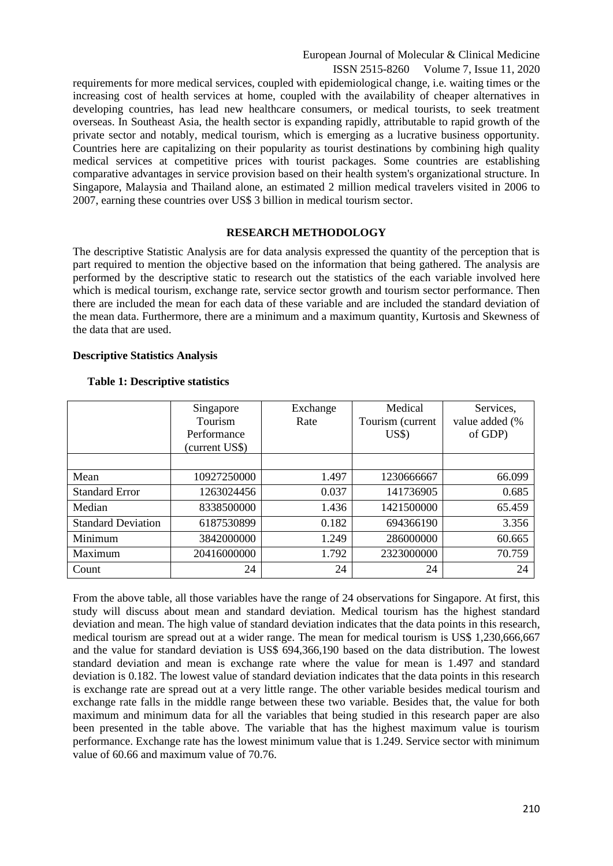European Journal of Molecular & Clinical Medicine ISSN 2515-8260 Volume 7, Issue 11, 2020

requirements for more medical services, coupled with epidemiological change, i.e. waiting times or the increasing cost of health services at home, coupled with the availability of cheaper alternatives in developing countries, has lead new healthcare consumers, or medical tourists, to seek treatment overseas. In Southeast Asia, the health sector is expanding rapidly, attributable to rapid growth of the private sector and notably, medical tourism, which is emerging as a lucrative business opportunity. Countries here are capitalizing on their popularity as tourist destinations by combining high quality medical services at competitive prices with tourist packages. Some countries are establishing comparative advantages in service provision based on their health system's organizational structure. In Singapore, Malaysia and Thailand alone, an estimated 2 million medical travelers visited in 2006 to 2007, earning these countries over US\$ 3 billion in medical tourism sector.

# **RESEARCH METHODOLOGY**

The descriptive Statistic Analysis are for data analysis expressed the quantity of the perception that is part required to mention the objective based on the information that being gathered. The analysis are performed by the descriptive static to research out the statistics of the each variable involved here which is medical tourism, exchange rate, service sector growth and tourism sector performance. Then there are included the mean for each data of these variable and are included the standard deviation of the mean data. Furthermore, there are a minimum and a maximum quantity, Kurtosis and Skewness of the data that are used.

#### **Descriptive Statistics Analysis**

|                           | Singapore      | Exchange | Medical             | Services,      |
|---------------------------|----------------|----------|---------------------|----------------|
|                           | Tourism        | Rate     | Tourism (current    | value added (% |
|                           | Performance    |          | $\overline{U}$ S\$) | of GDP)        |
|                           | (current US\$) |          |                     |                |
|                           |                |          |                     |                |
| Mean                      | 10927250000    | 1.497    | 1230666667          | 66.099         |
| <b>Standard Error</b>     | 1263024456     | 0.037    | 141736905           | 0.685          |
| Median                    | 8338500000     | 1.436    | 1421500000          | 65.459         |
| <b>Standard Deviation</b> | 6187530899     | 0.182    | 694366190           | 3.356          |
| Minimum                   | 3842000000     | 1.249    | 286000000           | 60.665         |
| Maximum                   | 20416000000    | 1.792    | 2323000000          | 70.759         |
| Count                     | 24             | 24       | 24                  | 24             |

#### **Table 1: Descriptive statistics**

From the above table, all those variables have the range of 24 observations for Singapore. At first, this study will discuss about mean and standard deviation. Medical tourism has the highest standard deviation and mean. The high value of standard deviation indicates that the data points in this research, medical tourism are spread out at a wider range. The mean for medical tourism is US\$ 1,230,666,667 and the value for standard deviation is US\$ 694,366,190 based on the data distribution. The lowest standard deviation and mean is exchange rate where the value for mean is 1.497 and standard deviation is 0.182. The lowest value of standard deviation indicates that the data points in this research is exchange rate are spread out at a very little range. The other variable besides medical tourism and exchange rate falls in the middle range between these two variable. Besides that, the value for both maximum and minimum data for all the variables that being studied in this research paper are also been presented in the table above. The variable that has the highest maximum value is tourism performance. Exchange rate has the lowest minimum value that is 1.249. Service sector with minimum value of 60.66 and maximum value of 70.76.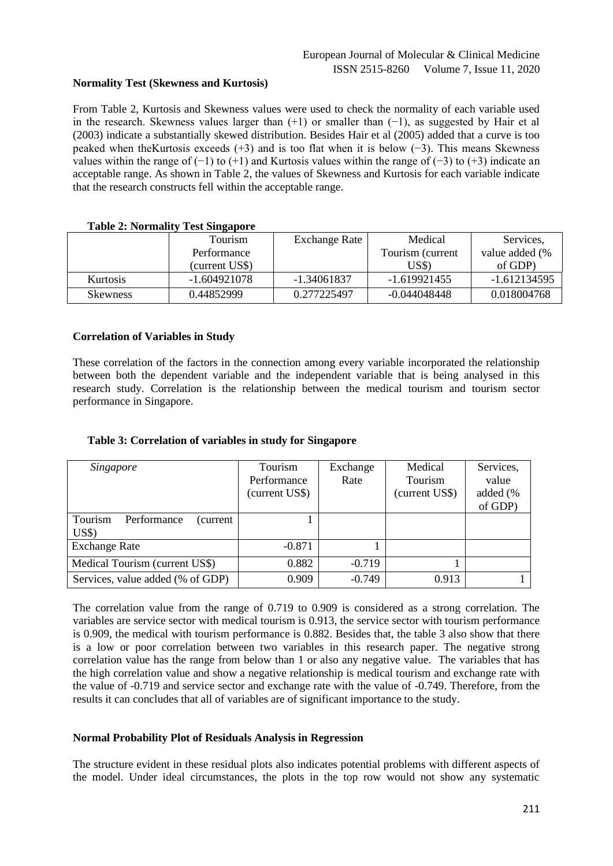# **Normality Test (Skewness and Kurtosis)**

From Table 2, Kurtosis and Skewness values were used to check the normality of each variable used in the research. Skewness values larger than (+1) or smaller than (−1), as suggested by Hair et al (2003) indicate a substantially skewed distribution. Besides Hair et al (2005) added that a curve is too peaked when theKurtosis exceeds (+3) and is too flat when it is below (−3). This means Skewness values within the range of  $(-1)$  to  $(+1)$  and Kurtosis values within the range of  $(-3)$  to  $(+3)$  indicate an acceptable range. As shown in Table 2, the values of Skewness and Kurtosis for each variable indicate that the research constructs fell within the acceptable range.

|                 | <b>Tourism</b> | <b>Exchange Rate</b> | Medical          | Services,      |
|-----------------|----------------|----------------------|------------------|----------------|
|                 | Performance    |                      | Tourism (current | value added (% |
|                 | (current US\$) |                      | US\$)            | of GDP)        |
| Kurtosis        | $-1.604921078$ | -1.34061837          | $-1.619921455$   | -1.612134595   |
| <b>Skewness</b> | 0.44852999     | 0.277225497          | $-0.044048448$   | 0.018004768    |

#### **Table 2: Normality Test Singapore**

## **Correlation of Variables in Study**

These correlation of the factors in the connection among every variable incorporated the relationship between both the dependent variable and the independent variable that is being analysed in this research study. Correlation is the relationship between the medical tourism and tourism sector performance in Singapore.

| Singapore                                                 | Tourism<br>Performance<br>(current US\$) | Exchange<br>Rate | Medical<br>Tourism<br>(current US\$) | Services,<br>value<br>added (%<br>of GDP) |
|-----------------------------------------------------------|------------------------------------------|------------------|--------------------------------------|-------------------------------------------|
| Tourism<br>Performance<br>(current<br>$\overline{U}$ S\$) |                                          |                  |                                      |                                           |
| <b>Exchange Rate</b>                                      | $-0.871$                                 |                  |                                      |                                           |
| Medical Tourism (current US\$)                            | 0.882                                    | $-0.719$         |                                      |                                           |
| Services, value added (% of GDP)                          | 0.909                                    | $-0.749$         | 0.913                                |                                           |

## **Table 3: Correlation of variables in study for Singapore**

The correlation value from the range of 0.719 to 0.909 is considered as a strong correlation. The variables are service sector with medical tourism is 0.913, the service sector with tourism performance is 0.909, the medical with tourism performance is 0.882. Besides that, the table 3 also show that there is a low or poor correlation between two variables in this research paper. The negative strong correlation value has the range from below than 1 or also any negative value. The variables that has the high correlation value and show a negative relationship is medical tourism and exchange rate with the value of -0.719 and service sector and exchange rate with the value of -0.749. Therefore, from the results it can concludes that all of variables are of significant importance to the study.

## **Normal Probability Plot of Residuals Analysis in Regression**

The structure evident in these residual plots also indicates potential problems with different aspects of the model. Under ideal circumstances, the plots in the top row would not show any systematic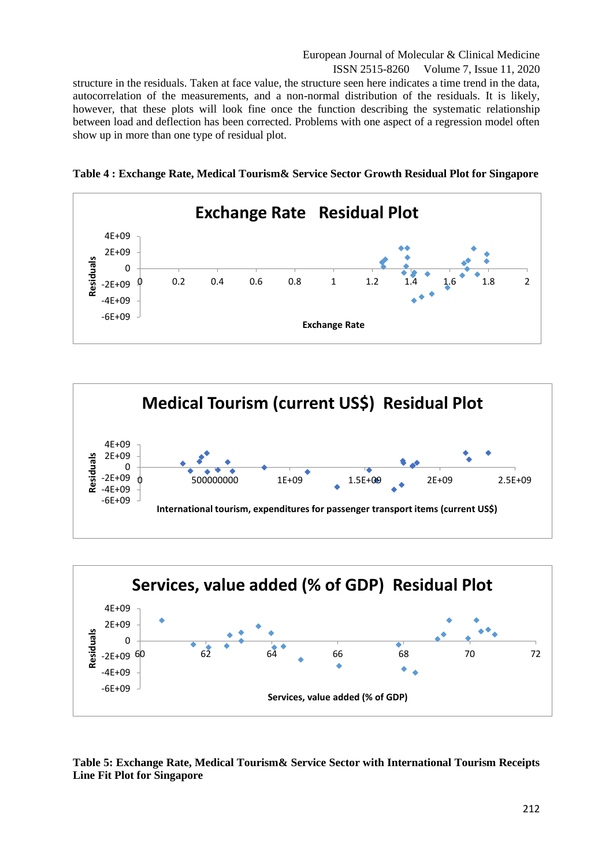European Journal of Molecular & Clinical Medicine ISSN 2515-8260 Volume 7, Issue 11, 2020

structure in the residuals. Taken at face value, the structure seen here indicates a time trend in the data, autocorrelation of the measurements, and a non-normal distribution of the residuals. It is likely, however, that these plots will look fine once the function describing the systematic relationship between load and deflection has been corrected. Problems with one aspect of a regression model often show up in more than one type of residual plot.









**Table 5: Exchange Rate, Medical Tourism& Service Sector with International Tourism Receipts Line Fit Plot for Singapore**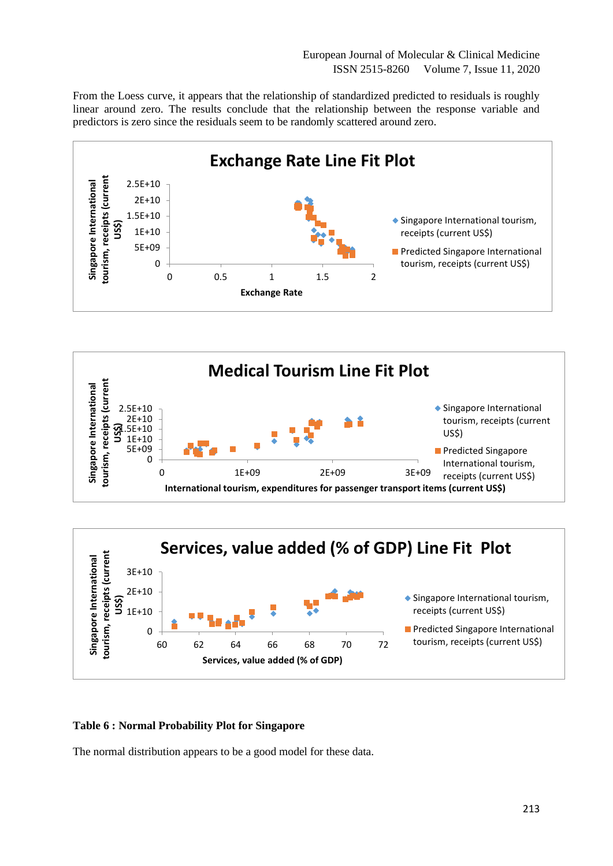From the Loess curve, it appears that the relationship of standardized predicted to residuals is roughly linear around zero. The results conclude that the relationship between the response variable and predictors is zero since the residuals seem to be randomly scattered around zero.







## **Table 6 : Normal Probability Plot for Singapore**

The normal distribution appears to be a good model for these data.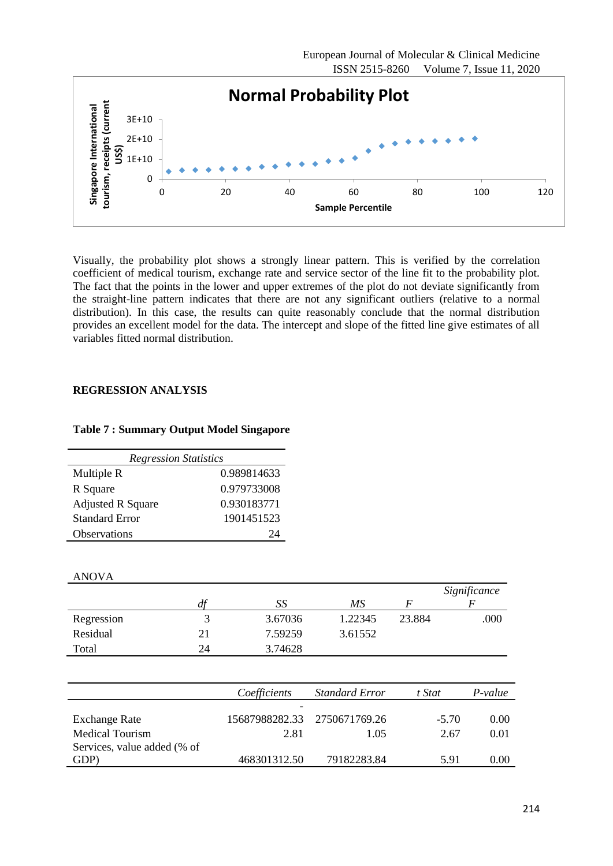

Visually, the probability plot shows a strongly linear pattern. This is verified by the correlation coefficient of medical tourism, exchange rate and service sector of the line fit to the probability plot. The fact that the points in the lower and upper extremes of the plot do not deviate significantly from the straight-line pattern indicates that there are not any significant outliers (relative to a normal distribution). In this case, the results can quite reasonably conclude that the normal distribution provides an excellent model for the data. The intercept and slope of the fitted line give estimates of all variables fitted normal distribution.

# **REGRESSION ANALYSIS**

## **Table 7 : Summary Output Model Singapore**

| <b>Regression Statistics</b> |             |  |  |
|------------------------------|-------------|--|--|
| Multiple R                   | 0.989814633 |  |  |
| R Square                     | 0.979733008 |  |  |
| <b>Adjusted R Square</b>     | 0.930183771 |  |  |
| <b>Standard Error</b>        | 1901451523  |  |  |
| Observations                 | 74          |  |  |

#### ANOVA

|            |    |         |         | Significance |      |
|------------|----|---------|---------|--------------|------|
|            | df | SS      | MS      |              |      |
| Regression |    | 3.67036 | 1.22345 | 23.884       | .000 |
| Residual   |    | 7.59259 | 3.61552 |              |      |
| Total      | 24 | 3.74628 |         |              |      |

|                             | Coefficients                 | <b>Standard Error</b> | t Stat  | P-value |
|-----------------------------|------------------------------|-----------------------|---------|---------|
|                             |                              |                       |         |         |
| <b>Exchange Rate</b>        | 15687988282.33 2750671769.26 |                       | $-5.70$ | 0.00    |
| <b>Medical Tourism</b>      | 2.81                         | 1.05                  | 2.67    | 0.01    |
| Services, value added (% of |                              |                       |         |         |
| GDP)                        | 468301312.50                 | 79182283.84           | 5.91    | 0.00    |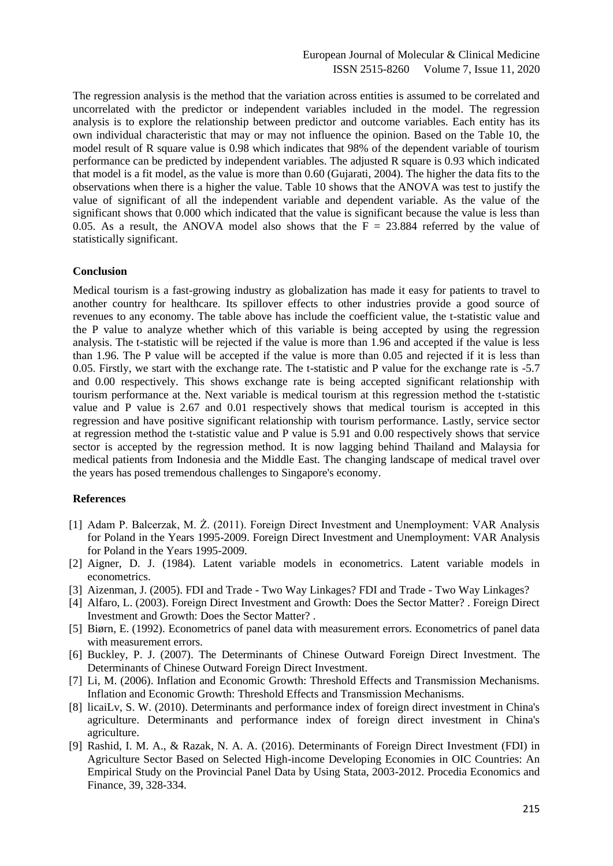The regression analysis is the method that the variation across entities is assumed to be correlated and uncorrelated with the predictor or independent variables included in the model. The regression analysis is to explore the relationship between predictor and outcome variables. Each entity has its own individual characteristic that may or may not influence the opinion. Based on the Table 10, the model result of R square value is 0.98 which indicates that 98% of the dependent variable of tourism performance can be predicted by independent variables. The adjusted R square is 0.93 which indicated that model is a fit model, as the value is more than 0.60 (Gujarati, 2004). The higher the data fits to the observations when there is a higher the value. Table 10 shows that the ANOVA was test to justify the value of significant of all the independent variable and dependent variable. As the value of the significant shows that 0.000 which indicated that the value is significant because the value is less than 0.05. As a result, the ANOVA model also shows that the  $F = 23.884$  referred by the value of statistically significant.

#### **Conclusion**

Medical tourism is a fast-growing industry as globalization has made it easy for patients to travel to another country for healthcare. Its spillover effects to other industries provide a good source of revenues to any economy. The table above has include the coefficient value, the t-statistic value and the P value to analyze whether which of this variable is being accepted by using the regression analysis. The t-statistic will be rejected if the value is more than 1.96 and accepted if the value is less than 1.96. The P value will be accepted if the value is more than 0.05 and rejected if it is less than 0.05. Firstly, we start with the exchange rate. The t-statistic and P value for the exchange rate is -5.7 and 0.00 respectively. This shows exchange rate is being accepted significant relationship with tourism performance at the. Next variable is medical tourism at this regression method the t-statistic value and P value is 2.67 and 0.01 respectively shows that medical tourism is accepted in this regression and have positive significant relationship with tourism performance. Lastly, service sector at regression method the t-statistic value and P value is 5.91 and 0.00 respectively shows that service sector is accepted by the regression method. It is now lagging behind Thailand and Malaysia for medical patients from Indonesia and the Middle East. The changing landscape of medical travel over the years has posed tremendous challenges to Singapore's economy.

#### **References**

- [1] Adam P. Balcerzak, M. Ż. (2011). Foreign Direct Investment and Unemployment: VAR Analysis for Poland in the Years 1995-2009. Foreign Direct Investment and Unemployment: VAR Analysis for Poland in the Years 1995-2009.
- [2] Aigner, D. J. (1984). Latent variable models in econometrics. Latent variable models in econometrics.
- [3] Aizenman, J. (2005). FDI and Trade Two Way Linkages? FDI and Trade Two Way Linkages?
- [4] Alfaro, L. (2003). Foreign Direct Investment and Growth: Does the Sector Matter? . Foreign Direct Investment and Growth: Does the Sector Matter? .
- [5] Biørn, E. (1992). Econometrics of panel data with measurement errors. Econometrics of panel data with measurement errors.
- [6] Buckley, P. J. (2007). The Determinants of Chinese Outward Foreign Direct Investment. The Determinants of Chinese Outward Foreign Direct Investment.
- [7] Li, M. (2006). Inflation and Economic Growth: Threshold Effects and Transmission Mechanisms. Inflation and Economic Growth: Threshold Effects and Transmission Mechanisms.
- [8] licaiLv, S. W. (2010). Determinants and performance index of foreign direct investment in China's agriculture. Determinants and performance index of foreign direct investment in China's agriculture.
- [9] Rashid, I. M. A., & Razak, N. A. A. (2016). Determinants of Foreign Direct Investment (FDI) in Agriculture Sector Based on Selected High-income Developing Economies in OIC Countries: An Empirical Study on the Provincial Panel Data by Using Stata, 2003-2012. Procedia Economics and Finance, 39, 328-334.